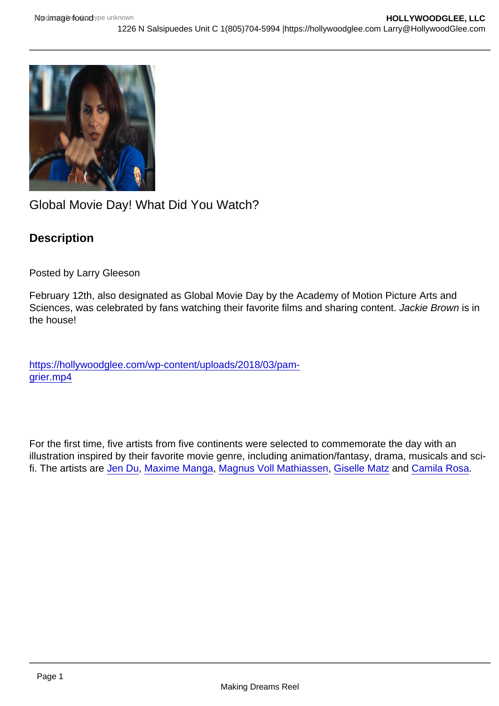## Global Movie Day! What Did You Watch?

**Description** 

Posted by Larry Gleeson

February 12th, also designated as Global Movie Day by the Academy of Motion Picture Arts and Sciences, was celebrated by fans watching their favorite films and sharing content. Jackie Brown is in the house!

[https://hollywoodglee.com/wp-content/uploads/2018/03/pam](https://hollywoodglee.com/wp-content/uploads/2018/03/pam-grier.mp4)[grier.mp4](https://hollywoodglee.com/wp-content/uploads/2018/03/pam-grier.mp4)

For the first time, five artists from five continents were selected to commemorate the day with an illustration inspired by their favorite movie genre, including animation/fantasy, drama, musicals and scifi. The artists are [Jen Du,](https://elink.clickdimensions.com/c/7/eyJhaSI6NDk3NDMwMTAsImUiOiJsYXJyeUBob2xseXdvb2RnbGVlLmNvbSIsInJpIjoiY29udGFjdC1kMmZjMDA1NWU1ODVlNzExODEwNjAwNTA1NjgzMzY5Zi0xOTMwODY4ZDQ4ODc0ZmU3YTU1MTgwNzk1OTViZWY4MSIsInJxIjoiMDItYjIyMDQzLTA3ODBkMTAxNjNmOTQ5ZmM4NWYyYmM4ZWY4NzI2NDRhIiwicGgiOm51bGwsIm0iOmZhbHNlLCJ1aSI6IjMiLCJ1biI6IiIsInUiOiJodHRwczovL3d3dy5pbnN0YWdyYW0uY29tL2plbi5kdS8_X2NsZGVlPWJHRnljbmxBYUc5c2JIbDNiMjlrWjJ4bFpTNWpiMjAlM2QmcmVjaXBpZW50aWQ9Y29udGFjdC1kMmZjMDA1NWU1ODVlNzExODEwNjAwNTA1NjgzMzY5Zi0xOTMwODY4ZDQ4ODc0ZmU3YTU1MTgwNzk1OTViZWY4MSZlc2lkPTZiMmVhNmJhLWEwOGItZWMxMS05M2IwLTAwMGQzYTVjOGM4NCJ9/t3eWWiyK7SRd2gkf4QmONQ) [Maxime Manga](https://elink.clickdimensions.com/c/7/eyJhaSI6NDk3NDMwMTAsImUiOiJsYXJyeUBob2xseXdvb2RnbGVlLmNvbSIsInJpIjoiY29udGFjdC1kMmZjMDA1NWU1ODVlNzExODEwNjAwNTA1NjgzMzY5Zi0xOTMwODY4ZDQ4ODc0ZmU3YTU1MTgwNzk1OTViZWY4MSIsInJxIjoiMDItYjIyMDQzLTA3ODBkMTAxNjNmOTQ5ZmM4NWYyYmM4ZWY4NzI2NDRhIiwicGgiOm51bGwsIm0iOmZhbHNlLCJ1aSI6IjQiLCJ1biI6IiIsInUiOiJodHRwczovL3d3dy5pbnN0YWdyYW0uY29tL21ib2EuYXJ0Lz9fY2xkZWU9YkdGeWNubEFhRzlzYkhsM2IyOWtaMnhsWlM1amIyMCUzZCZyZWNpcGllbnRpZD1jb250YWN0LWQyZmMwMDU1ZTU4NWU3MTE4MTA2MDA1MDU2ODMzNjlmLTE5MzA4NjhkNDg4NzRmZTdhNTUxODA3OTU5NWJlZjgxJmVzaWQ9NmIyZWE2YmEtYTA4Yi1lYzExLTkzYjAtMDAwZDNhNWM4Yzg0In0/zBzmIWsICkBHRi-BBdiBCQ), [Magnus Voll Mathiassen,](https://elink.clickdimensions.com/c/7/eyJhaSI6NDk3NDMwMTAsImUiOiJsYXJyeUBob2xseXdvb2RnbGVlLmNvbSIsInJpIjoiY29udGFjdC1kMmZjMDA1NWU1ODVlNzExODEwNjAwNTA1NjgzMzY5Zi0xOTMwODY4ZDQ4ODc0ZmU3YTU1MTgwNzk1OTViZWY4MSIsInJxIjoiMDItYjIyMDQzLTA3ODBkMTAxNjNmOTQ5ZmM4NWYyYmM4ZWY4NzI2NDRhIiwicGgiOm51bGwsIm0iOmZhbHNlLCJ1aSI6IjUiLCJ1biI6IiIsInUiOiJodHRwczovL3d3dy5pbnN0YWdyYW0uY29tL212bV9tYWdudXMvP19jbGRlZT1iR0Z5Y25sQWFHOXNiSGwzYjI5a1oyeGxaUzVqYjIwJTNkJnJlY2lwaWVudGlkPWNvbnRhY3QtZDJmYzAwNTVlNTg1ZTcxMTgxMDYwMDUwNTY4MzM2OWYtMTkzMDg2OGQ0ODg3NGZlN2E1NTE4MDc5NTk1YmVmODEmZXNpZD02YjJlYTZiYS1hMDhiLWVjMTEtOTNiMC0wMDBkM2E1YzhjODQifQ/DGay8qk7b-w3BdEfninV_w) [Giselle Matz](https://elink.clickdimensions.com/c/7/eyJhaSI6NDk3NDMwMTAsImUiOiJsYXJyeUBob2xseXdvb2RnbGVlLmNvbSIsInJpIjoiY29udGFjdC1kMmZjMDA1NWU1ODVlNzExODEwNjAwNTA1NjgzMzY5Zi0xOTMwODY4ZDQ4ODc0ZmU3YTU1MTgwNzk1OTViZWY4MSIsInJxIjoiMDItYjIyMDQzLTA3ODBkMTAxNjNmOTQ5ZmM4NWYyYmM4ZWY4NzI2NDRhIiwicGgiOm51bGwsIm0iOmZhbHNlLCJ1aSI6IjYiLCJ1biI6IiIsInUiOiJodHRwczovL3d3dy5pbnN0YWdyYW0uY29tL3RoZXN0dWRpby5nLz9fY2xkZWU9YkdGeWNubEFhRzlzYkhsM2IyOWtaMnhsWlM1amIyMCUzZCZyZWNpcGllbnRpZD1jb250YWN0LWQyZmMwMDU1ZTU4NWU3MTE4MTA2MDA1MDU2ODMzNjlmLTE5MzA4NjhkNDg4NzRmZTdhNTUxODA3OTU5NWJlZjgxJmVzaWQ9NmIyZWE2YmEtYTA4Yi1lYzExLTkzYjAtMDAwZDNhNWM4Yzg0In0/bvKtDhIUyFo73PSnjgbirg) and [Camila Rosa.](https://elink.clickdimensions.com/c/7/eyJhaSI6NDk3NDMwMTAsImUiOiJsYXJyeUBob2xseXdvb2RnbGVlLmNvbSIsInJpIjoiY29udGFjdC1kMmZjMDA1NWU1ODVlNzExODEwNjAwNTA1NjgzMzY5Zi0xOTMwODY4ZDQ4ODc0ZmU3YTU1MTgwNzk1OTViZWY4MSIsInJxIjoiMDItYjIyMDQzLTA3ODBkMTAxNjNmOTQ5ZmM4NWYyYmM4ZWY4NzI2NDRhIiwicGgiOm51bGwsIm0iOmZhbHNlLCJ1aSI6IjciLCJ1biI6IiIsInUiOiJodHRwczovL3d3dy5pbnN0YWdyYW0uY29tL2NhbWl4dngvP19jbGRlZT1iR0Z5Y25sQWFHOXNiSGwzYjI5a1oyeGxaUzVqYjIwJTNkJnJlY2lwaWVudGlkPWNvbnRhY3QtZDJmYzAwNTVlNTg1ZTcxMTgxMDYwMDUwNTY4MzM2OWYtMTkzMDg2OGQ0ODg3NGZlN2E1NTE4MDc5NTk1YmVmODEmZXNpZD02YjJlYTZiYS1hMDhiLWVjMTEtOTNiMC0wMDBkM2E1YzhjODQifQ/QBmAoLH3vJLLsvyNfBsP8g)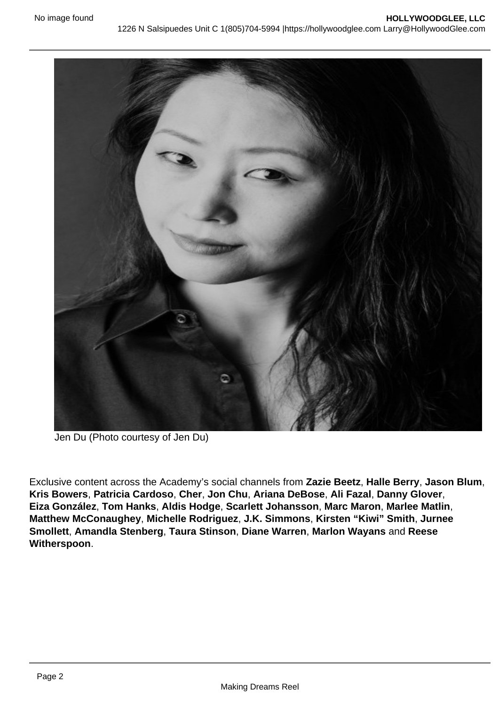Jen Du (Photo courtesy of Jen Du)

Exclusive content across the Academy's social channels from Zazie Beetz , Halle Berry , Jason Blum , Kris Bowers , Patricia Cardoso , Cher, Jon Chu , Ariana DeBose , Ali Fazal , Danny Glover , Eiza González , Tom Hanks , Aldis Hodge , Scarlett Johansson , Marc Maron , Marlee Matlin , Matthew McConaughey , Michelle Rodriguez , J.K. Simmons , Kirsten "Kiwi" Smith , Jurnee Smollett , Amandla Stenberg , Taura Stinson , Diane Warren , Marlon Wayans and Reese Witherspoon .